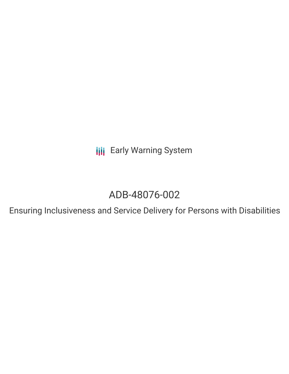**III** Early Warning System

# ADB-48076-002

Ensuring Inclusiveness and Service Delivery for Persons with Disabilities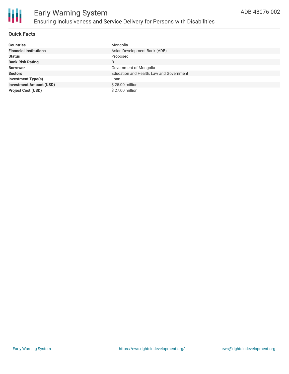

### **Quick Facts**

| <b>Countries</b>               | Mongolia                                 |
|--------------------------------|------------------------------------------|
| <b>Financial Institutions</b>  | Asian Development Bank (ADB)             |
| <b>Status</b>                  | Proposed                                 |
| <b>Bank Risk Rating</b>        | B                                        |
| <b>Borrower</b>                | Government of Mongolia                   |
| <b>Sectors</b>                 | Education and Health, Law and Government |
| <b>Investment Type(s)</b>      | Loan                                     |
| <b>Investment Amount (USD)</b> | \$25.00 million                          |
| <b>Project Cost (USD)</b>      | \$27.00 million                          |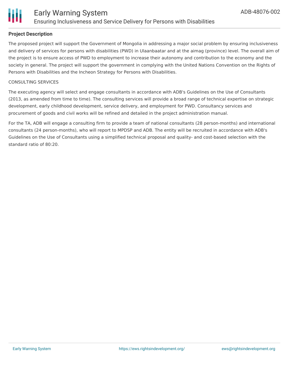

### **Project Description**

The proposed project will support the Government of Mongolia in addressing a major social problem by ensuring inclusiveness and delivery of services for persons with disabilities (PWD) in Ulaanbaatar and at the aimag (province) level. The overall aim of the project is to ensure access of PWD to employment to increase their autonomy and contribution to the economy and the society in general. The project will support the government in complying with the United Nations Convention on the Rights of Persons with Disabilities and the Incheon Strategy for Persons with Disabilities.

#### CONSULTING SERVICES

The executing agency will select and engage consultants in accordance with ADB's Guidelines on the Use of Consultants (2013, as amended from time to time). The consulting services will provide a broad range of technical expertise on strategic development, early childhood development, service delivery, and employment for PWD. Consultancy services and procurement of goods and civil works will be refined and detailed in the project administration manual.

For the TA, ADB will engage a consulting firm to provide a team of national consultants (28 person-months) and international consultants (24 person-months), who will report to MPDSP and ADB. The entity will be recruited in accordance with ADB's Guidelines on the Use of Consultants using a simplified technical proposal and quality- and cost-based selection with the standard ratio of 80:20.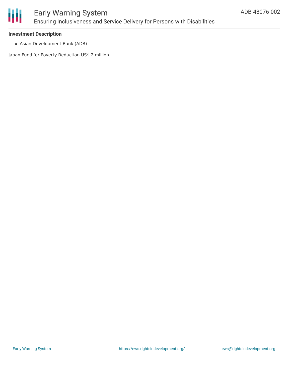

# Early Warning System Ensuring Inclusiveness and Service Delivery for Persons with Disabilities

#### **Investment Description**

Asian Development Bank (ADB)

Japan Fund for Poverty Reduction US\$ 2 million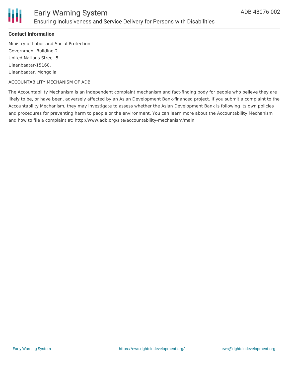

### **Contact Information**

Ministry of Labor and Social Protection Government Building-2 United Nations Street-5 Ulaanbaatar-15160, Ulaanbaatar, Mongolia

#### ACCOUNTABILITY MECHANISM OF ADB

The Accountability Mechanism is an independent complaint mechanism and fact-finding body for people who believe they are likely to be, or have been, adversely affected by an Asian Development Bank-financed project. If you submit a complaint to the Accountability Mechanism, they may investigate to assess whether the Asian Development Bank is following its own policies and procedures for preventing harm to people or the environment. You can learn more about the Accountability Mechanism and how to file a complaint at: http://www.adb.org/site/accountability-mechanism/main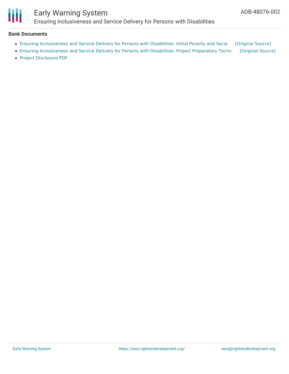

## Early Warning System Ensuring Inclusiveness and Service Delivery for Persons with Disabilities

#### **Bank Documents**

- Ensuring [Inclusiveness](https://ewsdata.rightsindevelopment.org/files/documents/02/ADB-48076-002.pdf) and Service Delivery for Persons with Disabilities: Initial Poverty and Socia [\[Original](https://www.adb.org/projects/documents/ensuring-inclusiveness-and-service-delivery-persons-disabilities-mongolia-ipsa) Source]
- Ensuring [Inclusiveness](https://ewsdata.rightsindevelopment.org/files/documents/02/ADB-48076-002_pov5cj3.pdf) and Service Delivery for Persons with Disabilities: Project Preparatory Techn [\[Original](https://www.adb.org/projects/documents/ensuring-inclusiveness-and-service-delivery-persons-disabilities-mongolia-pptar) Source]
- Project [Disclosure](https://www.adb.org/printpdf/projects/48076-002/main) PDF